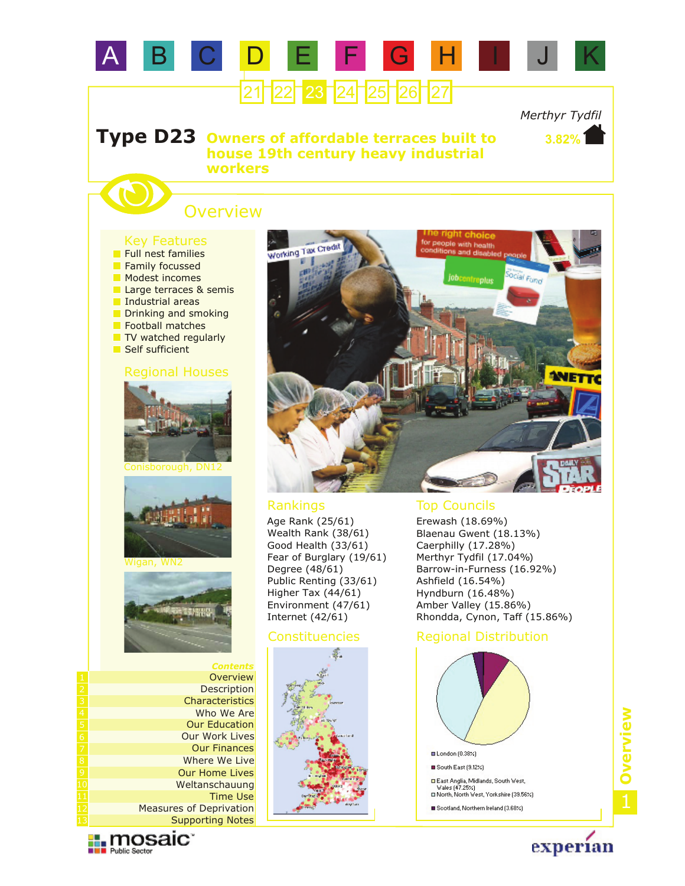

### **Type D23 Owners of affordable terraces built to house 19th century heavy industrial workers**

# **Overview**

## Key Features

- TV watched regularly Football matches **Modest incomes** Large terraces & semis Industrial areas Drinking and smoking **Family focussed Full nest families**
- Self sufficient

#### Regional Houses







*Contents* **Description Overview Characteristics** Who We Are Our Work Lives Our Education Our Finances Where We Live Our Home Lives Weltanschauung Supporting Notes Measures of Deprivation Time Use

**Exploration** 



Age Rank (25/61) Wealth Rank (38/61) Good Health (33/61) Fear of Burglary (19/61) Degree (48/61) Public Renting (33/61) Higher Tax (44/61) Environment (47/61) Internet (42/61)



#### Rankings Top Councils

Erewash (18.69%) Blaenau Gwent (18.13%) Caerphilly (17.28%) Merthyr Tydfil (17.04%) Barrow-in-Furness (16.92%) Ashfield (16.54%) Hyndburn (16.48%) Amber Valley (15.86%) Rhondda, Cynon, Taff (15.86%)

#### Constituencies Regional Distribution



# 1**Overview**

experian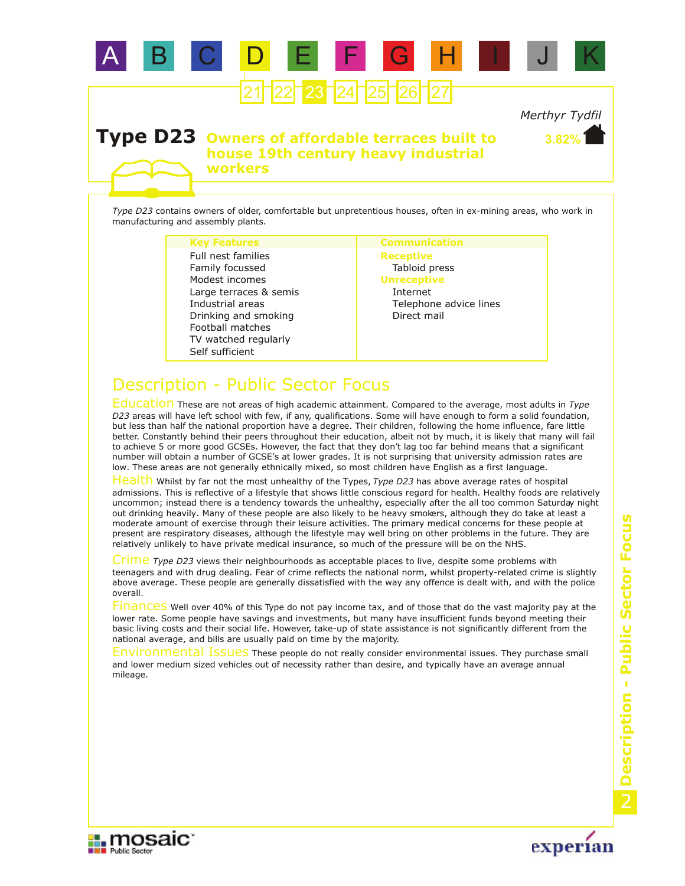

#### **Type D23 Owners of affordable terraces built to house 19th century heavy industrial workers**

*Type D23* contains owners of older, comfortable but unpretentious houses, often in ex-mining areas, who work in manufacturing and assembly plants.

#### **Key Features Communication**

TV watched regularly Football matches Modest incomes Large terraces & semis Industrial areas Self sufficient Drinking and smoking Family focussed Full nest families

**Receptive** Tabloid press **Unreceptive** Internet Telephone advice lines Direct mail

## Description - Public Sector Focus

Education These are not areas of high academic attainment. Compared to the average, most adults in *Type D23* areas will have left school with few, if any, qualifications. Some will have enough to form a solid foundation, but less than half the national proportion have a degree. Their children, following the home influence, fare little better. Constantly behind their peers throughout their education, albeit not by much, it is likely that many will fail to achieve 5 or more good GCSEs. However, the fact that they don't lag too far behind means that a significant number will obtain a number of GCSE's at lower grades. It is not surprising that university admission rates are low. These areas are not generally ethnically mixed, so most children have English as a first language.

Health Whilst by far not the most unhealthy of the Types, Type D23 has above average rates of hospital admissions. This is reflective of a lifestyle that shows little conscious regard for health. Healthy foods are relatively uncommon; instead there is a tendency towards the unhealthy, especially after the all too common Saturday night out drinking heavily. Many of these people are also likely to be heavy smokers, although they do take at least a moderate amount of exercise through their leisure activities. The primary medical concerns for these people at present are respiratory diseases, although the lifestyle may well bring on other problems in the future. They are relatively unlikely to have private medical insurance, so much of the pressure will be on the NHS.

Crime Type D23 views their neighbourhoods as acceptable places to live, despite some problems with teenagers and with drug dealing. Fear of crime reflects the national norm, whilst property-related crime is slightly above average. These people are generally dissatisfied with the way any offence is dealt with, and with the police overall.

Finances Well over 40% of this Type do not pay income tax, and of those that do the vast majority pay at the lower rate. Some people have savings and investments, but many have insufficient funds beyond meeting their basic living costs and their social life. However, take-up of state assistance is not significantly different from the national average, and bills are usually paid on time by the majority.

Environmental Issues These people do not really consider environmental issues. They purchase small and lower medium sized vehicles out of necessity rather than desire, and typically have an average annual mileage.



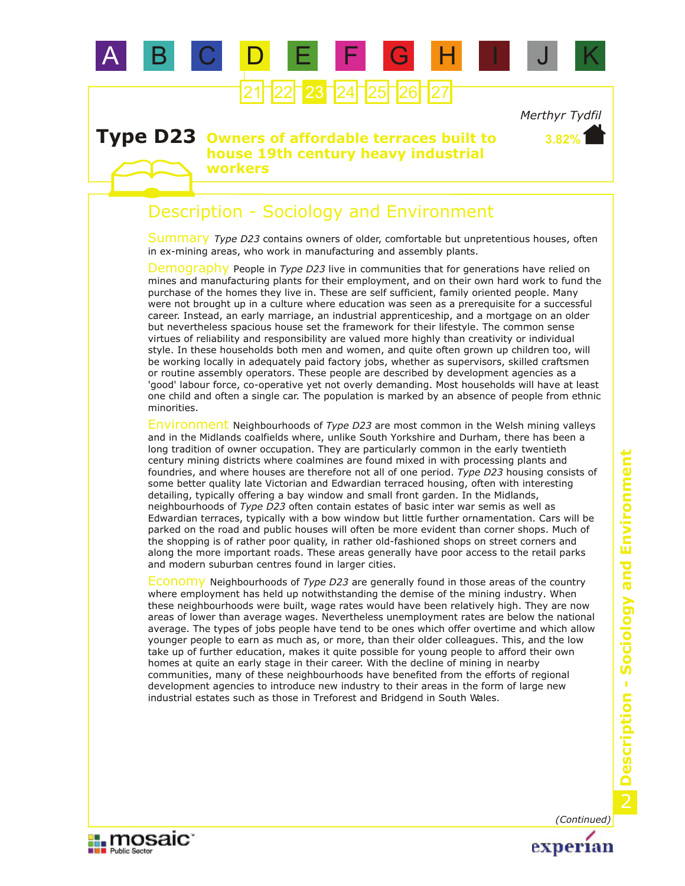

#### **Type D23 Owners of affordable terraces built to house 19th century heavy industrial workers**

## Description - Sociology and Environment

Summary Type D23 contains owners of older, comfortable but unpretentious houses, often in ex-mining areas, who work in manufacturing and assembly plants.

Demography People in *Type D23* live in communities that for generations have relied on mines and manufacturing plants for their employment, and on their own hard work to fund the purchase of the homes they live in. These are self sufficient, family oriented people. Many were not brought up in a culture where education was seen as a prerequisite for a successful career. Instead, an early marriage, an industrial apprenticeship, and a mortgage on an older but nevertheless spacious house set the framework for their lifestyle. The common sense virtues of reliability and responsibility are valued more highly than creativity or individual style. In these households both men and women, and quite often grown up children too, will be working locally in adequately paid factory jobs, whether as supervisors, skilled craftsmen or routine assembly operators. These people are described by development agencies as a 'good' labour force, co-operative yet not overly demanding. Most households will have at least one child and often a single car. The population is marked by an absence of people from ethnic minorities.

Environment Neighbourhoods of *Type D23* are most common in the Welsh mining valleys and in the Midlands coalfields where, unlike South Yorkshire and Durham, there has been a long tradition of owner occupation. They are particularly common in the early twentieth century mining districts where coalmines are found mixed in with processing plants and foundries, and where houses are therefore not all of one period. *Type D23* housing consists of some better quality late Victorian and Edwardian terraced housing, often with interesting detailing, typically offering a bay window and small front garden. In the Midlands, neighbourhoods of *Type D23* often contain estates of basic inter war semis as well as Edwardian terraces, typically with a bow window but little further ornamentation. Cars will be parked on the road and public houses will often be more evident than corner shops. Much of the shopping is of rather poor quality, in rather old-fashioned shops on street corners and along the more important roads. These areas generally have poor access to the retail parks and modern suburban centres found in larger cities.

Economy Neighbourhoods of *Type D23* are generally found in those areas of the country where employment has held up notwithstanding the demise of the mining industry. When these neighbourhoods were built, wage rates would have been relatively high. They are now areas of lower than average wages. Nevertheless unemployment rates are below the national average. The types of jobs people have tend to be ones which offer overtime and which allow younger people to earn as much as, or more, than their older colleagues. This, and the low take up of further education, makes it quite possible for young people to afford their own homes at quite an early stage in their career. With the decline of mining in nearby communities, many of these neighbourhoods have benefited from the efforts of regional development agencies to introduce new industry to their areas in the form of large new industrial estates such as those in Treforest and Bridgend in South Wales.

*(Continued)*

experian

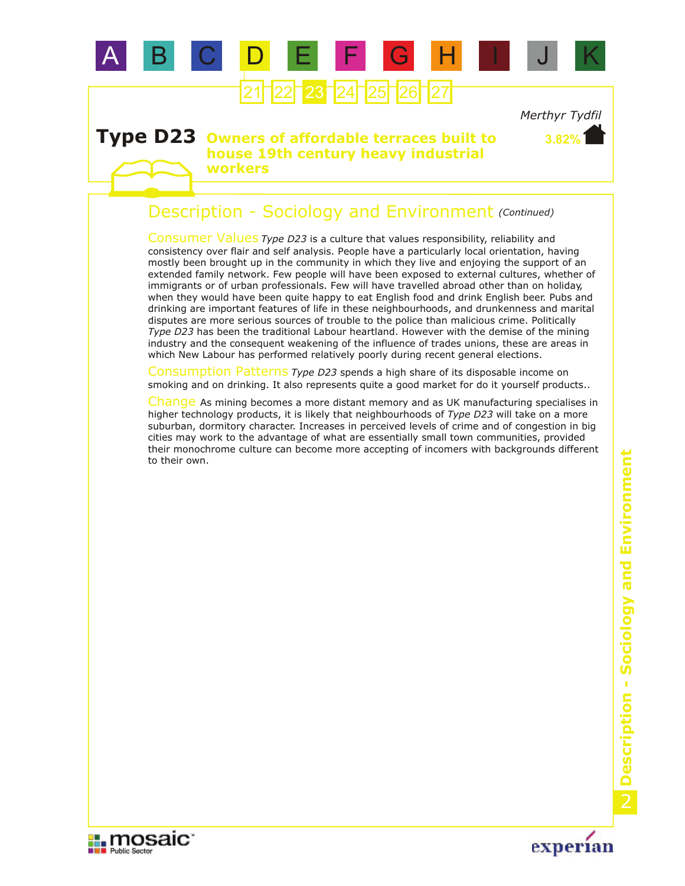

#### **Type D23 Owners of affordable terraces built to house 19th century heavy industrial workers**

## Description - Sociology and Environment *(Continued)*

Consumer Values Type D23 is a culture that values responsibility, reliability and consistency over flair and self analysis. People have a particularly local orientation, having mostly been brought up in the community in which they live and enjoying the support of an extended family network. Few people will have been exposed to external cultures, whether of immigrants or of urban professionals. Few will have travelled abroad other than on holiday, when they would have been quite happy to eat English food and drink English beer. Pubs and drinking are important features of life in these neighbourhoods, and drunkenness and marital disputes are more serious sources of trouble to the police than malicious crime. Politically *Type D23* has been the traditional Labour heartland. However with the demise of the mining industry and the consequent weakening of the influence of trades unions, these are areas in which New Labour has performed relatively poorly during recent general elections.

Consumption Patterns *Type D23* spends a high share of its disposable income on smoking and on drinking. It also represents quite a good market for do it yourself products..

Change As mining becomes a more distant memory and as UK manufacturing specialises in higher technology products, it is likely that neighbourhoods of *Type D23* will take on a more suburban, dormitory character. Increases in perceived levels of crime and of congestion in big cities may work to the advantage of what are essentially small town communities, provided their monochrome culture can become more accepting of incomers with backgrounds different to their own.



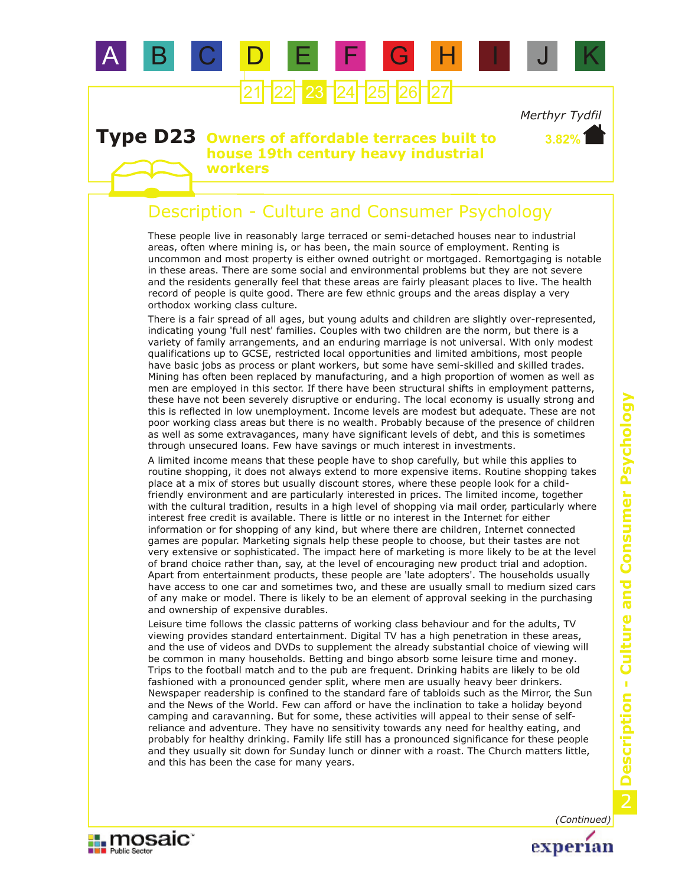

#### **Type D23 Owners of affordable terraces built to house 19th century heavy industrial workers**

## Description - Culture and Consumer Psychology

These people live in reasonably large terraced or semi-detached houses near to industrial areas, often where mining is, or has been, the main source of employment. Renting is uncommon and most property is either owned outright or mortgaged. Remortgaging is notable in these areas. There are some social and environmental problems but they are not severe and the residents generally feel that these areas are fairly pleasant places to live. The health record of people is quite good. There are few ethnic groups and the areas display a very orthodox working class culture.

There is a fair spread of all ages, but young adults and children are slightly over-represented, indicating young 'full nest' families. Couples with two children are the norm, but there is a variety of family arrangements, and an enduring marriage is not universal. With only modest qualifications up to GCSE, restricted local opportunities and limited ambitions, most people have basic jobs as process or plant workers, but some have semi-skilled and skilled trades. Mining has often been replaced by manufacturing, and a high proportion of women as well as men are employed in this sector. If there have been structural shifts in employment patterns, these have not been severely disruptive or enduring. The local economy is usually strong and this is reflected in low unemployment. Income levels are modest but adequate. These are not poor working class areas but there is no wealth. Probably because of the presence of children as well as some extravagances, many have significant levels of debt, and this is sometimes through unsecured loans. Few have savings or much interest in investments.

A limited income means that these people have to shop carefully, but while this applies to routine shopping, it does not always extend to more expensive items. Routine shopping takes place at a mix of stores but usually discount stores, where these people look for a childfriendly environment and are particularly interested in prices. The limited income, together with the cultural tradition, results in a high level of shopping via mail order, particularly where interest free credit is available. There is little or no interest in the Internet for either information or for shopping of any kind, but where there are children, Internet connected games are popular. Marketing signals help these people to choose, but their tastes are not very extensive or sophisticated. The impact here of marketing is more likely to be at the level of brand choice rather than, say, at the level of encouraging new product trial and adoption. Apart from entertainment products, these people are 'late adopters'. The households usually have access to one car and sometimes two, and these are usually small to medium sized cars of any make or model. There is likely to be an element of approval seeking in the purchasing and ownership of expensive durables.

Leisure time follows the classic patterns of working class behaviour and for the adults, TV viewing provides standard entertainment. Digital TV has a high penetration in these areas, and the use of videos and DVDs to supplement the already substantial choice of viewing will be common in many households. Betting and bingo absorb some leisure time and money. Trips to the football match and to the pub are frequent. Drinking habits are likely to be old fashioned with a pronounced gender split, where men are usually heavy beer drinkers. Newspaper readership is confined to the standard fare of tabloids such as the Mirror, the Sun and the News of the World. Few can afford or have the inclination to take a holiday beyond camping and caravanning. But for some, these activities will appeal to their sense of selfreliance and adventure. They have no sensitivity towards any need for healthy eating, and probably for healthy drinking. Family life still has a pronounced significance for these people and they usually sit down for Sunday lunch or dinner with a roast. The Church matters little, and this has been the case for many years.



*(Continued)*experian